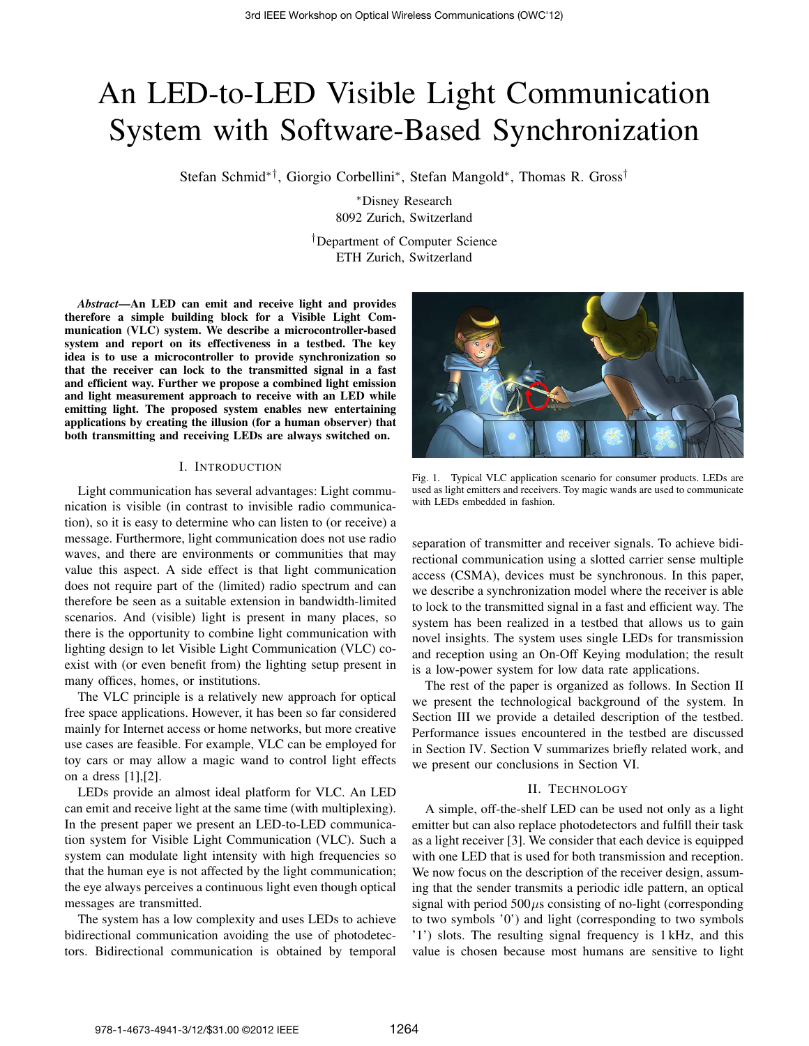# An LED-to-LED Visible Light Communication System with Software-Based Synchronization

Stefan Schmid∗†, Giorgio Corbellini∗, Stefan Mangold∗, Thomas R. Gross†

∗Disney Research 8092 Zurich, Switzerland

†Department of Computer Science ETH Zurich, Switzerland

*Abstract*—An LED can emit and receive light and provides therefore a simple building block for a Visible Light Communication (VLC) system. We describe a microcontroller-based system and report on its effectiveness in a testbed. The key idea is to use a microcontroller to provide synchronization so that the receiver can lock to the transmitted signal in a fast and efficient way. Further we propose a combined light emission and light measurement approach to receive with an LED while emitting light. The proposed system enables new entertaining applications by creating the illusion (for a human observer) that both transmitting and receiving LEDs are always switched on.

#### I. INTRODUCTION

Light communication has several advantages: Light communication is visible (in contrast to invisible radio communication), so it is easy to determine who can listen to (or receive) a message. Furthermore, light communication does not use radio waves, and there are environments or communities that may value this aspect. A side effect is that light communication does not require part of the (limited) radio spectrum and can therefore be seen as a suitable extension in bandwidth-limited scenarios. And (visible) light is present in many places, so there is the opportunity to combine light communication with lighting design to let Visible Light Communication (VLC) coexist with (or even benefit from) the lighting setup present in many offices, homes, or institutions.

The VLC principle is a relatively new approach for optical free space applications. However, it has been so far considered mainly for Internet access or home networks, but more creative use cases are feasible. For example, VLC can be employed for toy cars or may allow a magic wand to control light effects on a dress [1],[2].

LEDs provide an almost ideal platform for VLC. An LED can emit and receive light at the same time (with multiplexing). In the present paper we present an LED-to-LED communication system for Visible Light Communication (VLC). Such a system can modulate light intensity with high frequencies so that the human eye is not affected by the light communication; the eye always perceives a continuous light even though optical messages are transmitted.

The system has a low complexity and uses LEDs to achieve bidirectional communication avoiding the use of photodetectors. Bidirectional communication is obtained by temporal



Fig. 1. Typical VLC application scenario for consumer products. LEDs are used as light emitters and receivers. Toy magic wands are used to communicate with LEDs embedded in fashion.

separation of transmitter and receiver signals. To achieve bidirectional communication using a slotted carrier sense multiple access (CSMA), devices must be synchronous. In this paper, we describe a synchronization model where the receiver is able to lock to the transmitted signal in a fast and efficient way. The system has been realized in a testbed that allows us to gain novel insights. The system uses single LEDs for transmission and reception using an On-Off Keying modulation; the result is a low-power system for low data rate applications.

The rest of the paper is organized as follows. In Section II we present the technological background of the system. In Section III we provide a detailed description of the testbed. Performance issues encountered in the testbed are discussed in Section IV. Section V summarizes briefly related work, and we present our conclusions in Section VI.

#### II. TECHNOLOGY

A simple, off-the-shelf LED can be used not only as a light emitter but can also replace photodetectors and fulfill their task as a light receiver [3]. We consider that each device is equipped with one LED that is used for both transmission and reception. We now focus on the description of the receiver design, assuming that the sender transmits a periodic idle pattern, an optical signal with period  $500\mu s$  consisting of no-light (corresponding to two symbols '0') and light (corresponding to two symbols '1') slots. The resulting signal frequency is 1 kHz, and this value is chosen because most humans are sensitive to light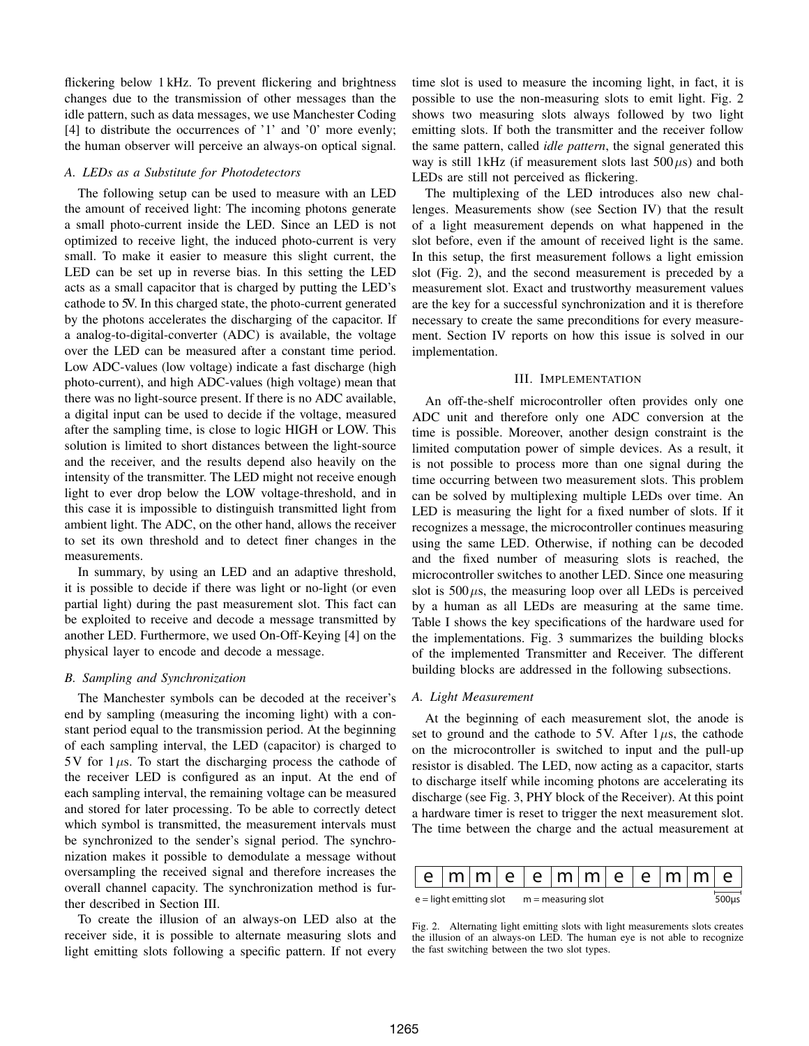flickering below 1 kHz. To prevent flickering and brightness changes due to the transmission of other messages than the idle pattern, such as data messages, we use Manchester Coding [4] to distribute the occurrences of '1' and '0' more evenly; the human observer will perceive an always-on optical signal.

## *A. LEDs as a Substitute for Photodetectors*

The following setup can be used to measure with an LED the amount of received light: The incoming photons generate a small photo-current inside the LED. Since an LED is not optimized to receive light, the induced photo-current is very small. To make it easier to measure this slight current, the LED can be set up in reverse bias. In this setting the LED acts as a small capacitor that is charged by putting the LED's cathode to 5V. In this charged state, the photo-current generated by the photons accelerates the discharging of the capacitor. If a analog-to-digital-converter (ADC) is available, the voltage over the LED can be measured after a constant time period. Low ADC-values (low voltage) indicate a fast discharge (high photo-current), and high ADC-values (high voltage) mean that there was no light-source present. If there is no ADC available, a digital input can be used to decide if the voltage, measured after the sampling time, is close to logic HIGH or LOW. This solution is limited to short distances between the light-source and the receiver, and the results depend also heavily on the intensity of the transmitter. The LED might not receive enough light to ever drop below the LOW voltage-threshold, and in this case it is impossible to distinguish transmitted light from ambient light. The ADC, on the other hand, allows the receiver to set its own threshold and to detect finer changes in the measurements.

In summary, by using an LED and an adaptive threshold, it is possible to decide if there was light or no-light (or even partial light) during the past measurement slot. This fact can be exploited to receive and decode a message transmitted by another LED. Furthermore, we used On-Off-Keying [4] on the physical layer to encode and decode a message.

#### *B. Sampling and Synchronization*

The Manchester symbols can be decoded at the receiver's end by sampling (measuring the incoming light) with a constant period equal to the transmission period. At the beginning of each sampling interval, the LED (capacitor) is charged to 5V for  $1 \mu s$ . To start the discharging process the cathode of the receiver LED is configured as an input. At the end of each sampling interval, the remaining voltage can be measured and stored for later processing. To be able to correctly detect which symbol is transmitted, the measurement intervals must be synchronized to the sender's signal period. The synchronization makes it possible to demodulate a message without oversampling the received signal and therefore increases the overall channel capacity. The synchronization method is further described in Section III.

To create the illusion of an always-on LED also at the receiver side, it is possible to alternate measuring slots and light emitting slots following a specific pattern. If not every time slot is used to measure the incoming light, in fact, it is possible to use the non-measuring slots to emit light. Fig. 2 shows two measuring slots always followed by two light emitting slots. If both the transmitter and the receiver follow the same pattern, called *idle pattern*, the signal generated this way is still 1kHz (if measurement slots last  $500 \mu s$ ) and both LEDs are still not perceived as flickering.

The multiplexing of the LED introduces also new challenges. Measurements show (see Section IV) that the result of a light measurement depends on what happened in the slot before, even if the amount of received light is the same. In this setup, the first measurement follows a light emission slot (Fig. 2), and the second measurement is preceded by a measurement slot. Exact and trustworthy measurement values are the key for a successful synchronization and it is therefore necessary to create the same preconditions for every measurement. Section IV reports on how this issue is solved in our implementation.

#### III. IMPLEMENTATION

An off-the-shelf microcontroller often provides only one ADC unit and therefore only one ADC conversion at the time is possible. Moreover, another design constraint is the limited computation power of simple devices. As a result, it is not possible to process more than one signal during the time occurring between two measurement slots. This problem can be solved by multiplexing multiple LEDs over time. An LED is measuring the light for a fixed number of slots. If it recognizes a message, the microcontroller continues measuring using the same LED. Otherwise, if nothing can be decoded and the fixed number of measuring slots is reached, the microcontroller switches to another LED. Since one measuring slot is  $500 \mu s$ , the measuring loop over all LEDs is perceived by a human as all LEDs are measuring at the same time. Table I shows the key specifications of the hardware used for the implementations. Fig. 3 summarizes the building blocks of the implemented Transmitter and Receiver. The different building blocks are addressed in the following subsections.

#### *A. Light Measurement*

At the beginning of each measurement slot, the anode is set to ground and the cathode to 5V. After  $1 \mu s$ , the cathode on the microcontroller is switched to input and the pull-up resistor is disabled. The LED, now acting as a capacitor, starts to discharge itself while incoming photons are accelerating its discharge (see Fig. 3, PHY block of the Receiver). At this point a hardware timer is reset to trigger the next measurement slot. The time between the charge and the actual measurement at



Fig. 2. Alternating light emitting slots with light measurements slots creates the illusion of an always-on LED. The human eye is not able to recognize the fast switching between the two slot types.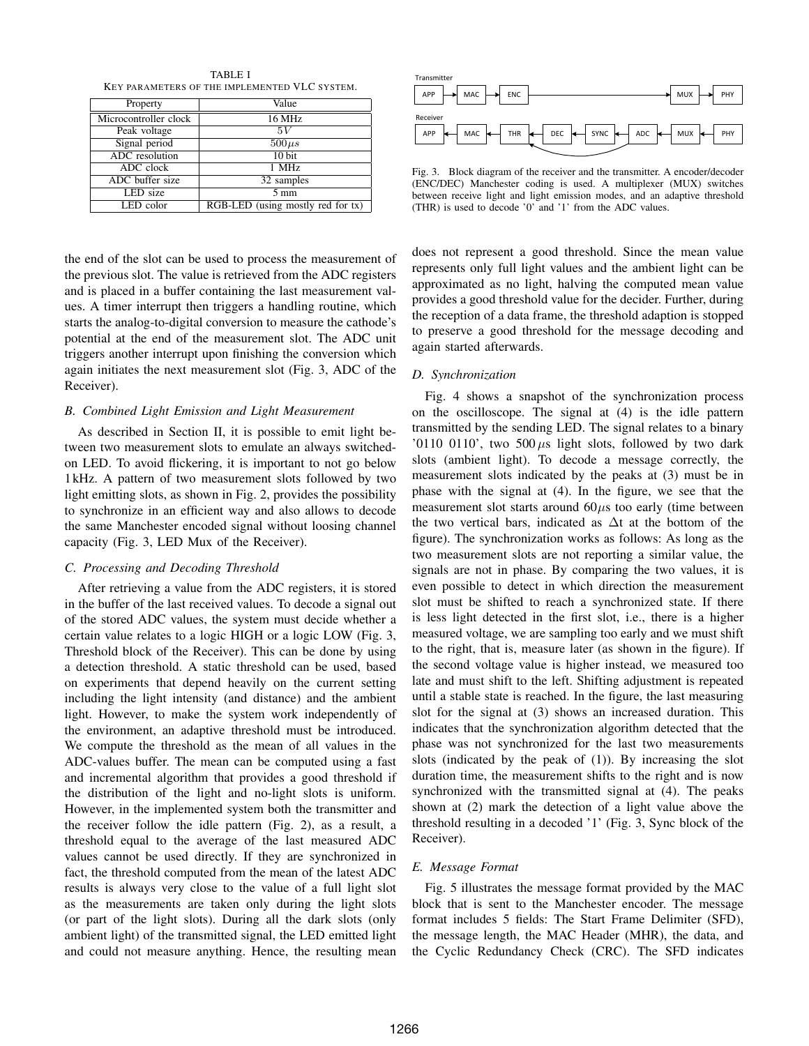TABLE I KEY PARAMETERS OF THE IMPLEMENTED VLC SYSTEM.

| Property                                       | Value          |  |
|------------------------------------------------|----------------|--|
| Microcontroller clock                          | 16 MHz         |  |
| Peak voltage                                   | 5V             |  |
| Signal period                                  | $500 \mu s$    |  |
| <b>ADC</b> resolution                          | $10$ bit       |  |
| ADC clock                                      | $1$ MHz        |  |
| ADC buffer size                                | 32 samples     |  |
| LED size                                       | $5 \text{ mm}$ |  |
| RGB-LED (using mostly red for tx)<br>LED color |                |  |

the end of the slot can be used to process the measurement of the previous slot. The value is retrieved from the ADC registers and is placed in a buffer containing the last measurement values. A timer interrupt then triggers a handling routine, which starts the analog-to-digital conversion to measure the cathode's potential at the end of the measurement slot. The ADC unit triggers another interrupt upon finishing the conversion which again initiates the next measurement slot (Fig. 3, ADC of the Receiver).

## *B. Combined Light Emission and Light Measurement*

As described in Section II, it is possible to emit light between two measurement slots to emulate an always switchedon LED. To avoid flickering, it is important to not go below 1kHz. A pattern of two measurement slots followed by two light emitting slots, as shown in Fig. 2, provides the possibility to synchronize in an efficient way and also allows to decode the same Manchester encoded signal without loosing channel capacity (Fig. 3, LED Mux of the Receiver).

#### *C. Processing and Decoding Threshold*

After retrieving a value from the ADC registers, it is stored in the buffer of the last received values. To decode a signal out of the stored ADC values, the system must decide whether a certain value relates to a logic HIGH or a logic LOW (Fig. 3, Threshold block of the Receiver). This can be done by using a detection threshold. A static threshold can be used, based on experiments that depend heavily on the current setting including the light intensity (and distance) and the ambient light. However, to make the system work independently of the environment, an adaptive threshold must be introduced. We compute the threshold as the mean of all values in the ADC-values buffer. The mean can be computed using a fast and incremental algorithm that provides a good threshold if the distribution of the light and no-light slots is uniform. However, in the implemented system both the transmitter and the receiver follow the idle pattern (Fig. 2), as a result, a threshold equal to the average of the last measured ADC values cannot be used directly. If they are synchronized in fact, the threshold computed from the mean of the latest ADC results is always very close to the value of a full light slot as the measurements are taken only during the light slots (or part of the light slots). During all the dark slots (only ambient light) of the transmitted signal, the LED emitted light and could not measure anything. Hence, the resulting mean



Fig. 3. Block diagram of the receiver and the transmitter. A encoder/decoder (ENC/DEC) Manchester coding is used. A multiplexer (MUX) switches between receive light and light emission modes, and an adaptive threshold (THR) is used to decode '0' and '1' from the ADC values.

does not represent a good threshold. Since the mean value represents only full light values and the ambient light can be approximated as no light, halving the computed mean value provides a good threshold value for the decider. Further, during the reception of a data frame, the threshold adaption is stopped to preserve a good threshold for the message decoding and again started afterwards.

# *D. Synchronization*

Fig. 4 shows a snapshot of the synchronization process on the oscilloscope. The signal at (4) is the idle pattern transmitted by the sending LED. The signal relates to a binary '0110 0110', two  $500 \mu s$  light slots, followed by two dark slots (ambient light). To decode a message correctly, the measurement slots indicated by the peaks at (3) must be in phase with the signal at (4). In the figure, we see that the measurement slot starts around  $60\mu s$  too early (time between the two vertical bars, indicated as  $\Delta t$  at the bottom of the figure). The synchronization works as follows: As long as the two measurement slots are not reporting a similar value, the signals are not in phase. By comparing the two values, it is even possible to detect in which direction the measurement slot must be shifted to reach a synchronized state. If there is less light detected in the first slot, i.e., there is a higher measured voltage, we are sampling too early and we must shift to the right, that is, measure later (as shown in the figure). If the second voltage value is higher instead, we measured too late and must shift to the left. Shifting adjustment is repeated until a stable state is reached. In the figure, the last measuring slot for the signal at (3) shows an increased duration. This indicates that the synchronization algorithm detected that the phase was not synchronized for the last two measurements slots (indicated by the peak of  $(1)$ ). By increasing the slot duration time, the measurement shifts to the right and is now synchronized with the transmitted signal at (4). The peaks shown at (2) mark the detection of a light value above the threshold resulting in a decoded '1' (Fig. 3, Sync block of the Receiver).

#### *E. Message Format*

Fig. 5 illustrates the message format provided by the MAC block that is sent to the Manchester encoder. The message format includes 5 fields: The Start Frame Delimiter (SFD), the message length, the MAC Header (MHR), the data, and the Cyclic Redundancy Check (CRC). The SFD indicates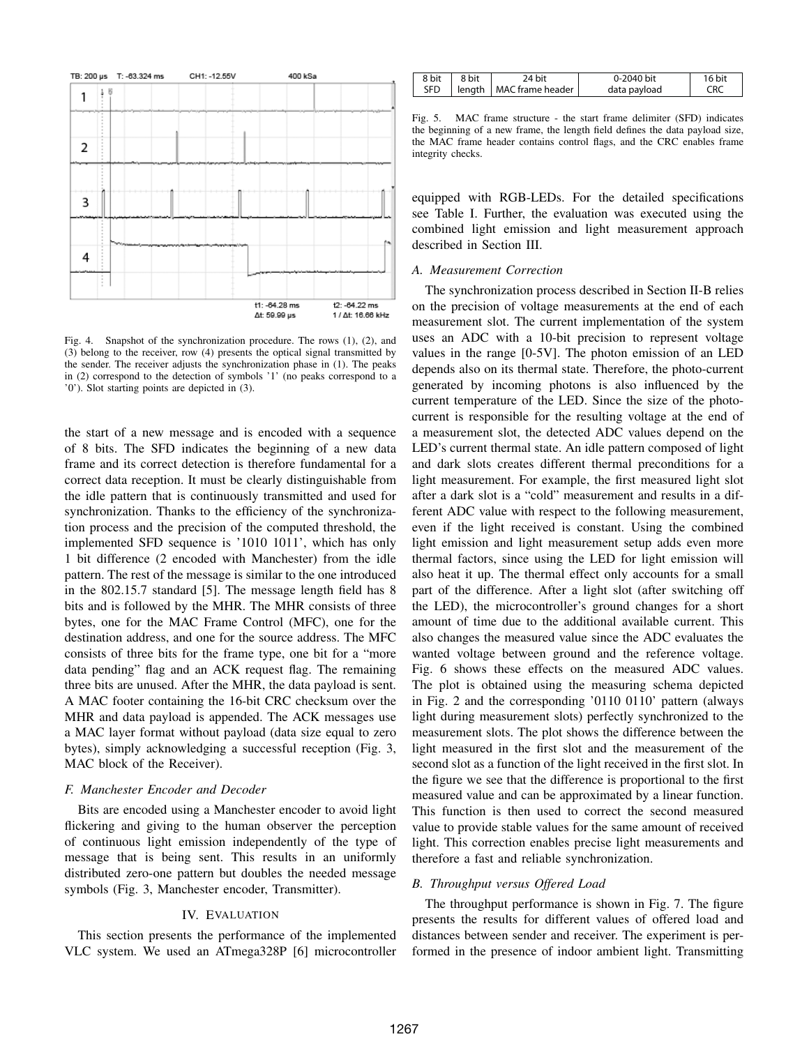

Fig. 4. Snapshot of the synchronization procedure. The rows (1), (2), and (3) belong to the receiver, row (4) presents the optical signal transmitted by the sender. The receiver adjusts the synchronization phase in (1). The peaks in (2) correspond to the detection of symbols '1' (no peaks correspond to a '0'). Slot starting points are depicted in (3).

the start of a new message and is encoded with a sequence of 8 bits. The SFD indicates the beginning of a new data frame and its correct detection is therefore fundamental for a correct data reception. It must be clearly distinguishable from the idle pattern that is continuously transmitted and used for synchronization. Thanks to the efficiency of the synchronization process and the precision of the computed threshold, the implemented SFD sequence is '1010 1011', which has only 1 bit difference (2 encoded with Manchester) from the idle pattern. The rest of the message is similar to the one introduced in the 802.15.7 standard [5]. The message length field has 8 bits and is followed by the MHR. The MHR consists of three bytes, one for the MAC Frame Control (MFC), one for the destination address, and one for the source address. The MFC consists of three bits for the frame type, one bit for a "more data pending" flag and an ACK request flag. The remaining three bits are unused. After the MHR, the data payload is sent. A MAC footer containing the 16-bit CRC checksum over the MHR and data payload is appended. The ACK messages use a MAC layer format without payload (data size equal to zero bytes), simply acknowledging a successful reception (Fig. 3, MAC block of the Receiver).

# *F. Manchester Encoder and Decoder*

Bits are encoded using a Manchester encoder to avoid light flickering and giving to the human observer the perception of continuous light emission independently of the type of message that is being sent. This results in an uniformly distributed zero-one pattern but doubles the needed message symbols (Fig. 3, Manchester encoder, Transmitter).

# IV. EVALUATION

This section presents the performance of the implemented VLC system. We used an ATmega328P [6] microcontroller

| 8 bit | 8 bit | 24 bit                    | 0-2040 bit   | 16 bit     |
|-------|-------|---------------------------|--------------|------------|
| SFD   |       | length   MAC frame header | data payload | <b>CRC</b> |

Fig. 5. MAC frame structure - the start frame delimiter (SFD) indicates the beginning of a new frame, the length field defines the data payload size, the MAC frame header contains control flags, and the CRC enables frame integrity checks.

equipped with RGB-LEDs. For the detailed specifications see Table I. Further, the evaluation was executed using the combined light emission and light measurement approach described in Section III.

# *A. Measurement Correction*

The synchronization process described in Section II-B relies on the precision of voltage measurements at the end of each measurement slot. The current implementation of the system uses an ADC with a 10-bit precision to represent voltage values in the range [0-5V]. The photon emission of an LED depends also on its thermal state. Therefore, the photo-current generated by incoming photons is also influenced by the current temperature of the LED. Since the size of the photocurrent is responsible for the resulting voltage at the end of a measurement slot, the detected ADC values depend on the LED's current thermal state. An idle pattern composed of light and dark slots creates different thermal preconditions for a light measurement. For example, the first measured light slot after a dark slot is a "cold" measurement and results in a different ADC value with respect to the following measurement, even if the light received is constant. Using the combined light emission and light measurement setup adds even more thermal factors, since using the LED for light emission will also heat it up. The thermal effect only accounts for a small part of the difference. After a light slot (after switching off the LED), the microcontroller's ground changes for a short amount of time due to the additional available current. This also changes the measured value since the ADC evaluates the wanted voltage between ground and the reference voltage. Fig. 6 shows these effects on the measured ADC values. The plot is obtained using the measuring schema depicted in Fig. 2 and the corresponding '0110 0110' pattern (always light during measurement slots) perfectly synchronized to the measurement slots. The plot shows the difference between the light measured in the first slot and the measurement of the second slot as a function of the light received in the first slot. In the figure we see that the difference is proportional to the first measured value and can be approximated by a linear function. This function is then used to correct the second measured value to provide stable values for the same amount of received light. This correction enables precise light measurements and therefore a fast and reliable synchronization.

# *B. Throughput versus Offered Load*

The throughput performance is shown in Fig. 7. The figure presents the results for different values of offered load and distances between sender and receiver. The experiment is performed in the presence of indoor ambient light. Transmitting